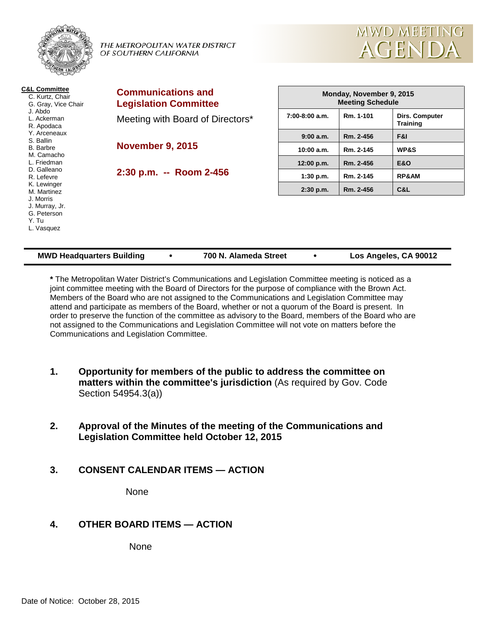

**2:30 p.m. -- Room 2-456**

 M. Camacho L. Friedman D. Galleano R. Lefevre K. Lewinger M. Martinez J. Morris J. Murray, Jr.

| Monday, November 9, 2015<br><b>Meeting Schedule</b> |           |                                   |  |  |  |
|-----------------------------------------------------|-----------|-----------------------------------|--|--|--|
| $7:00-8:00$ a.m.                                    | Rm. 1-101 | Dirs. Computer<br><b>Training</b> |  |  |  |
| 9:00a.m.                                            | Rm. 2-456 | F&I                               |  |  |  |
| 10:00 a.m.                                          | Rm. 2-145 | <b>WP&amp;S</b>                   |  |  |  |
| 12:00 p.m.                                          | Rm. 2-456 | <b>E&amp;O</b>                    |  |  |  |
| $1:30$ p.m.                                         | Rm. 2-145 | <b>RP&amp;AM</b>                  |  |  |  |
| $2:30$ p.m.                                         | Rm. 2-456 | C&L                               |  |  |  |

**MWD MEETING** 

**AGENDA** 

| <b>MWD Headquarters Building</b>   | 700 N. Alameda Street | Los Angeles, CA 90012 |  |
|------------------------------------|-----------------------|-----------------------|--|
| G. Peterson<br>Y. Tu<br>L. Vasquez |                       |                       |  |
|                                    |                       |                       |  |

**\*** The Metropolitan Water District's Communications and Legislation Committee meeting is noticed as a joint committee meeting with the Board of Directors for the purpose of compliance with the Brown Act. Members of the Board who are not assigned to the Communications and Legislation Committee may attend and participate as members of the Board, whether or not a quorum of the Board is present. In order to preserve the function of the committee as advisory to the Board, members of the Board who are not assigned to the Communications and Legislation Committee will not vote on matters before the Communications and Legislation Committee.

- **1. Opportunity for members of the public to address the committee on matters within the committee's jurisdiction** (As required by Gov. Code Section 54954.3(a))
- **2. Approval of the Minutes of the meeting of the Communications and Legislation Committee held October 12, 2015**
- **3. CONSENT CALENDAR ITEMS — ACTION**

None

# **4. OTHER BOARD ITEMS — ACTION**

None